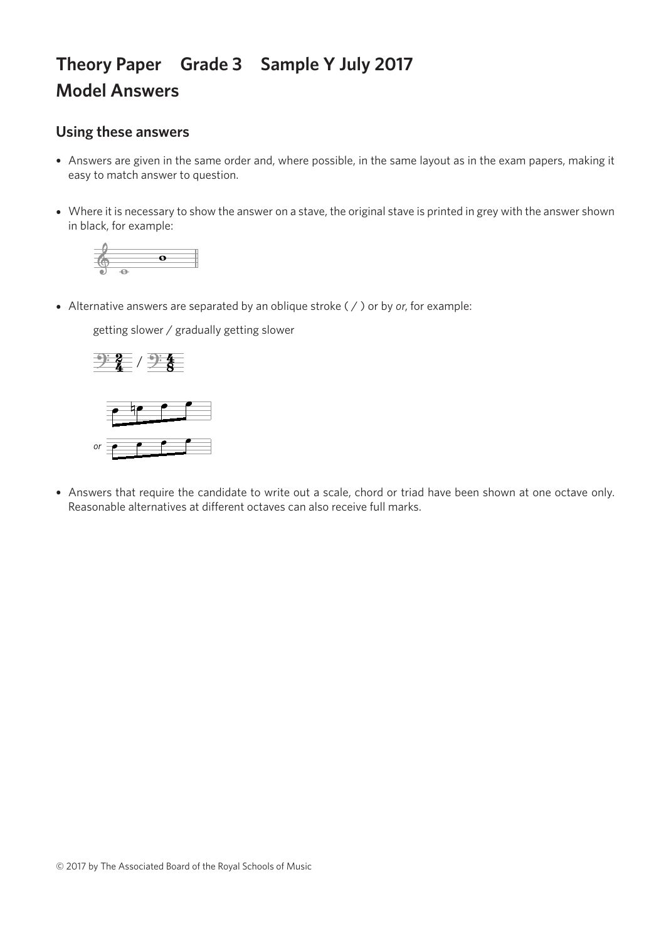## **Theory Paper Grade 3 Sample Y July 2017 Model Answers**

## **Using these answers**

- Answers are given in the same order and, where possible, in the same layout as in the exam papers, making it easy to match answer to question.
- Where it is necessary to show the answer on a stave, the original stave is printed in grey with the answer shown in black, for example:



• Alternative answers are separated by an oblique stroke ( / ) or by *or*, for example:

getting slower / gradually getting slower getting slower / gradually getting slower getting slower / gradually getting slower getting slower / gradually getting slower





• Answers that require the candidate to write out a scale, chord or triad have been shown at one octave only. Reasonable alternatives at different octaves can also receive full marks.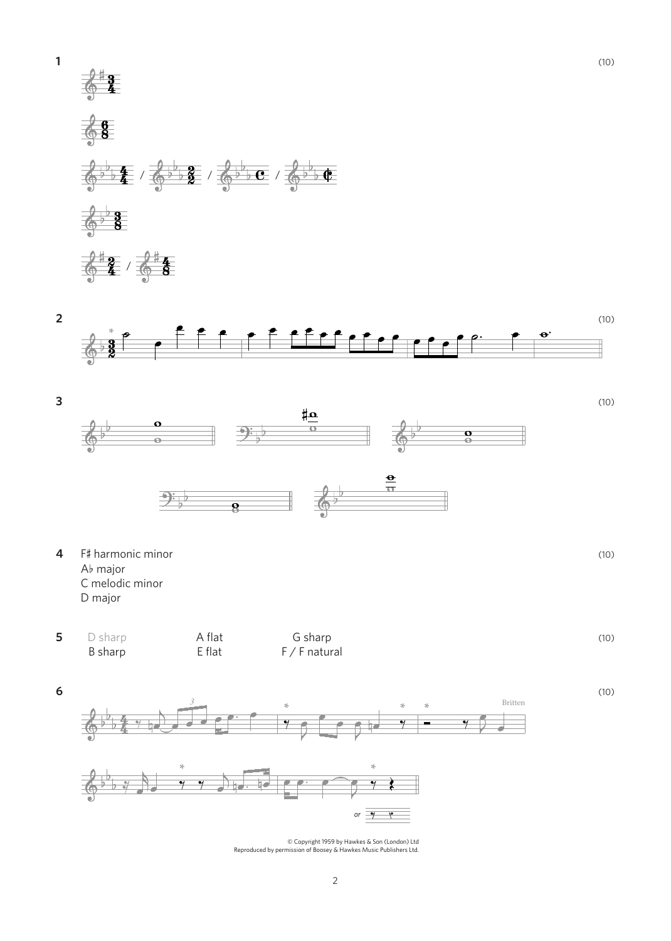







© Copyright 1959 by Hawkes & Son (London) Ltd Reproduced by permission of Boosey & Hawkes Music Publishers Ltd.

2